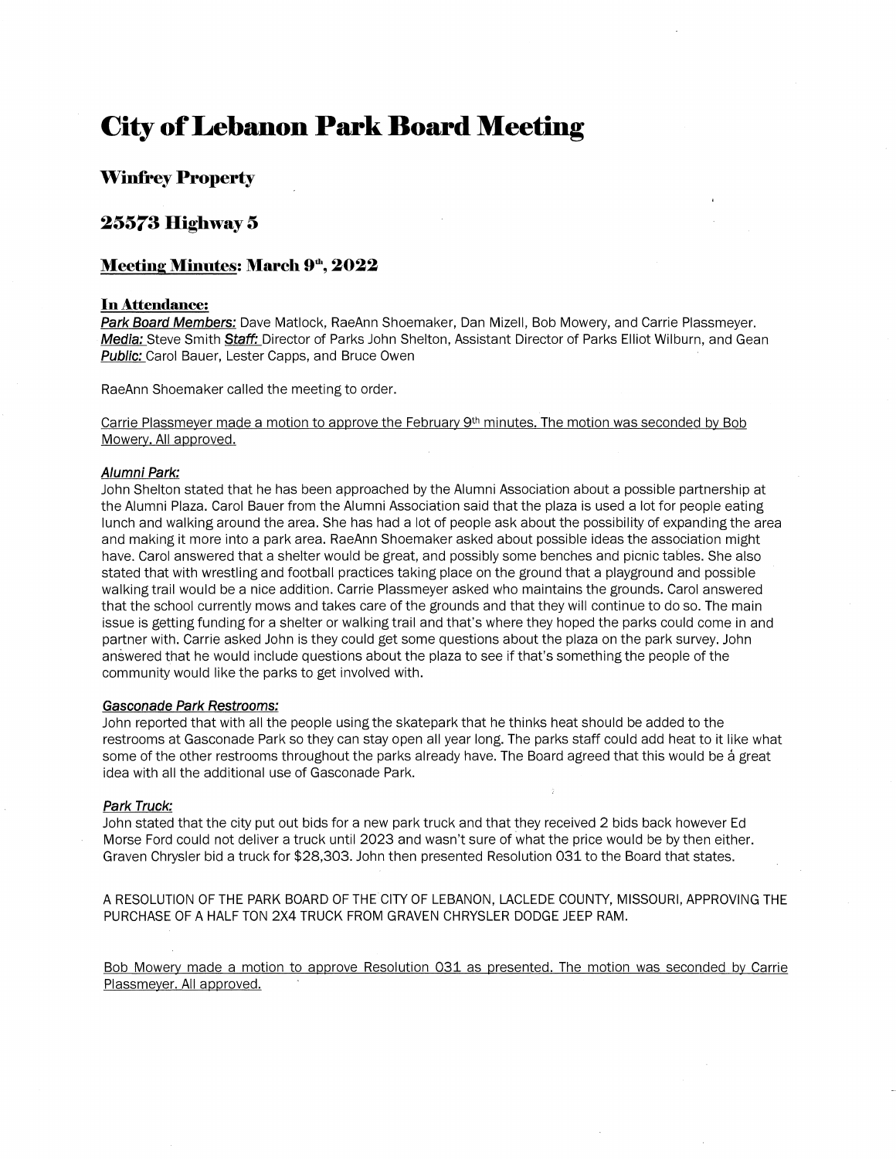# **City of Lebanon Park Board Meeting**

# **Winfrey Property**

# **25573 Highway 5**

# **Meeting Minutes: March 9<sup>th</sup>, 2022**

# **In Attendance:**

**Park Board Members:** Dave Matlock, RaeAnn Shoemaker, Dan Mizell, Bob Mowery, and Carrie Plassmeyer. **Media:** Steve Smith **Staff:** Director of Parks John Shelton, Assistant Director of Parks Elliot Wilburn, and Gean **Public:** Carol Bauer, Lester Capps, and Bruce Owen

RaeAnn Shoemaker called the meeting to order.

Carrie Plassmeyer made a motion to approve the February  $9<sup>th</sup>$  minutes. The motion was seconded by Bob Mowery. All approved.

#### **Alumni Park:**

John Shelton stated that he has been approached by the Alumni Association about a possible partnership at the Alumni Plaza. Carol Bauer from the Alumni Association said that the plaza is used a lot for people eating lunch and walking around the area. She has had a lot of people ask about the possibility of expanding the area and making it more into a park area. RaeAnn Shoemaker asked about possible ideas the association might have. Carol answered that a shelter would be great, and possibly some benches and picnic tables. She also stated that with wrestling and football practices taking place on the ground that a playground and possible walking trail would be a nice addition. Carrie Plassmeyer asked who maintains the grounds. Carol answered that the school currently mows and takes care of the grounds and that they will continue to do so. The main issue is getting funding for a shelter or walking trail and that's where they hoped the parks could come in and partner with. Carrie asked John is they could get some questions about the plaza on the park survey. John answered that he would include questions about the plaza to see if that's something the people of the community would like the parks to get involved with.

#### **Gasconade Park Restrooms:**

John reported that with all the people using the skatepark that he thinks heat should be added to the restrooms at Gasconade Park so they can stay open all year long. The parks staff could add heat to it like what some of the other restrooms throughout the parks already have. The Board agreed that this would be a great idea with all the additional use of Gasconade Park.

### **Park Truck:**

John stated that the city put out bids for a new park truck and that they received **2** bids back however Ed Morse Ford could not deliver a truck until 2023 and wasn't sure of what the price would be by then either. Graven Chrysler bid a truck for \$28,303. John then presented Resolution 031 to the Board that states.

A RESOLUTION OF THE PARK BOARD OF THE CITY OF LEBANON, LACLEDE COUNTY, MISSOURI, APPROVING THE PURCHASE OF A HALF TON 2X4 TRUCK FROM GRAVEN CHRYSLER DODGE JEEP RAM.

Bob Mowery made a motion to approve Resolution 031 as presented. The motion was seconded by Carrie Plassmeyer. All approved.